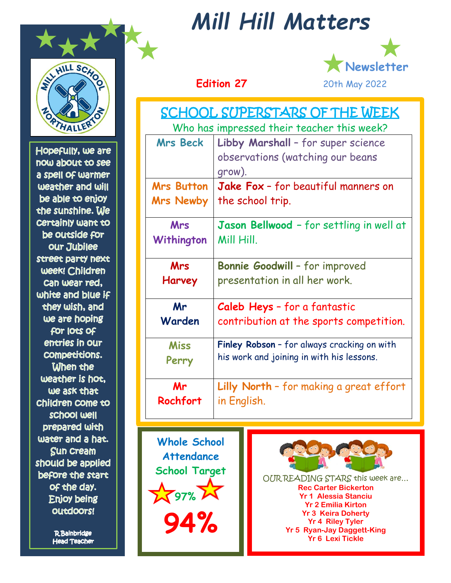

Hopefully, we are now about to see a spell of warmer weather and will be able to enjoy the sunshine. We certainly want to be outside for our Jubilee street party next week! Children can wear red, white and blue if they wish, and we are hoping for locs of entries in our compecicions. When the weather is hot, we ask that Children Come to school well prepared with water and a hat. **Sun cream** should be applied before the start of the day. Enjoy being outdoors!

> **R**Bainbridge **Head Teacher**

# *Mill Hill Matters*



| <b>SCHOOL SUPERSTARS OF THE WEEK</b>       |                                             |  |
|--------------------------------------------|---------------------------------------------|--|
| Who has impressed their teacher this week? |                                             |  |
| <b>Mrs Beck</b>                            | Libby Marshall - for super science          |  |
|                                            | observations (watching our beans            |  |
|                                            | grow).                                      |  |
| <b>Mrs Button</b>                          | Jake Fox - for beautiful manners on         |  |
| <b>Mrs Newby</b>                           | the school trip.                            |  |
| <b>Mrs</b>                                 | Jason Bellwood - for settling in well at    |  |
| Withington                                 | Mill Hill.                                  |  |
| <b>Mrs</b>                                 | Bonnie Goodwill - for improved              |  |
| Harvey                                     | presentation in all her work.               |  |
| Mr                                         | Caleb Heys - for a fantastic                |  |
| Warden                                     | contribution at the sports competition.     |  |
| <b>Miss</b>                                | Finley Robson - for always cracking on with |  |
| Perry                                      | his work and joining in with his lessons.   |  |
| Mr                                         | Lilly North - for making a great effort     |  |
| Rochfort                                   | in English.                                 |  |

**Whole School Attendance School Target**  $\sqrt{37\%}\ \cancel{\mathcal{M}}$ **94%**



OUR READING STARS this week are… **Rec Carter Bickerton Yr 1 Alessia Stanciu Yr 2 Emilia Kirton Yr 3 Keira Doherty Yr 4 Riley Tyler Yr 5 Ryan-Jay Daggett-King Yr 6 Lexi Tickle**